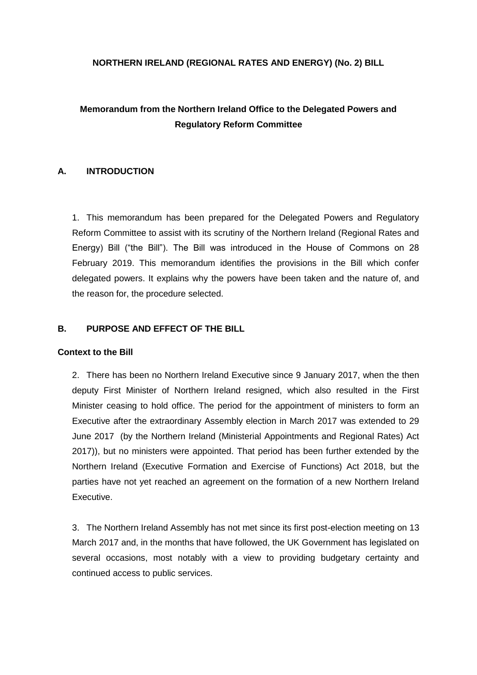#### **NORTHERN IRELAND (REGIONAL RATES AND ENERGY) (No. 2) BILL**

# **Memorandum from the Northern Ireland Office to the Delegated Powers and Regulatory Reform Committee**

### **A. INTRODUCTION**

1. This memorandum has been prepared for the Delegated Powers and Regulatory Reform Committee to assist with its scrutiny of the Northern Ireland (Regional Rates and Energy) Bill ("the Bill"). The Bill was introduced in the House of Commons on 28 February 2019. This memorandum identifies the provisions in the Bill which confer delegated powers. It explains why the powers have been taken and the nature of, and the reason for, the procedure selected.

### **B. PURPOSE AND EFFECT OF THE BILL**

#### **Context to the Bill**

2. There has been no Northern Ireland Executive since 9 January 2017, when the then deputy First Minister of Northern Ireland resigned, which also resulted in the First Minister ceasing to hold office. The period for the appointment of ministers to form an Executive after the extraordinary Assembly election in March 2017 was extended to 29 June 2017 (by the Northern Ireland (Ministerial Appointments and Regional Rates) Act 2017)), but no ministers were appointed. That period has been further extended by the Northern Ireland (Executive Formation and Exercise of Functions) Act 2018, but the parties have not yet reached an agreement on the formation of a new Northern Ireland Executive.

3. The Northern Ireland Assembly has not met since its first post-election meeting on 13 March 2017 and, in the months that have followed, the UK Government has legislated on several occasions, most notably with a view to providing budgetary certainty and continued access to public services.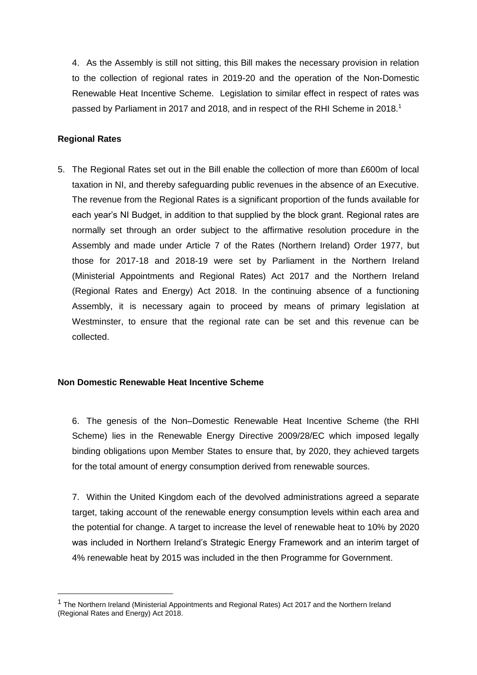4. As the Assembly is still not sitting, this Bill makes the necessary provision in relation to the collection of regional rates in 2019-20 and the operation of the Non-Domestic Renewable Heat Incentive Scheme. Legislation to similar effect in respect of rates was passed by Parliament in 2017 and 2018, and in respect of the RHI Scheme in 2018.<sup>1</sup>

### **Regional Rates**

1

5. The Regional Rates set out in the Bill enable the collection of more than £600m of local taxation in NI, and thereby safeguarding public revenues in the absence of an Executive. The revenue from the Regional Rates is a significant proportion of the funds available for each year's NI Budget, in addition to that supplied by the block grant. Regional rates are normally set through an order subject to the affirmative resolution procedure in the Assembly and made under Article 7 of the Rates (Northern Ireland) Order 1977, but those for 2017-18 and 2018-19 were set by Parliament in the Northern Ireland (Ministerial Appointments and Regional Rates) Act 2017 and the Northern Ireland (Regional Rates and Energy) Act 2018. In the continuing absence of a functioning Assembly, it is necessary again to proceed by means of primary legislation at Westminster, to ensure that the regional rate can be set and this revenue can be collected.

#### **Non Domestic Renewable Heat Incentive Scheme**

6. The genesis of the Non–Domestic Renewable Heat Incentive Scheme (the RHI Scheme) lies in the Renewable Energy Directive 2009/28/EC which imposed legally binding obligations upon Member States to ensure that, by 2020, they achieved targets for the total amount of energy consumption derived from renewable sources.

7. Within the United Kingdom each of the devolved administrations agreed a separate target, taking account of the renewable energy consumption levels within each area and the potential for change. A target to increase the level of renewable heat to 10% by 2020 was included in Northern Ireland's Strategic Energy Framework and an interim target of 4% renewable heat by 2015 was included in the then Programme for Government.

 $1$  The Northern Ireland (Ministerial Appointments and Regional Rates) Act 2017 and the Northern Ireland (Regional Rates and Energy) Act 2018.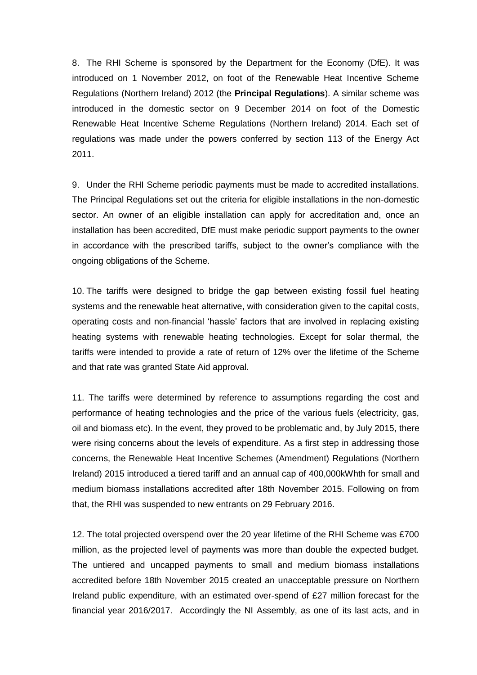8. The RHI Scheme is sponsored by the Department for the Economy (DfE). It was introduced on 1 November 2012, on foot of the Renewable Heat Incentive Scheme Regulations (Northern Ireland) 2012 (the **Principal Regulations**). A similar scheme was introduced in the domestic sector on 9 December 2014 on foot of the Domestic Renewable Heat Incentive Scheme Regulations (Northern Ireland) 2014. Each set of regulations was made under the powers conferred by section 113 of the Energy Act 2011.

9. Under the RHI Scheme periodic payments must be made to accredited installations. The Principal Regulations set out the criteria for eligible installations in the non-domestic sector. An owner of an eligible installation can apply for accreditation and, once an installation has been accredited, DfE must make periodic support payments to the owner in accordance with the prescribed tariffs, subject to the owner's compliance with the ongoing obligations of the Scheme.

10. The tariffs were designed to bridge the gap between existing fossil fuel heating systems and the renewable heat alternative, with consideration given to the capital costs, operating costs and non-financial 'hassle' factors that are involved in replacing existing heating systems with renewable heating technologies. Except for solar thermal, the tariffs were intended to provide a rate of return of 12% over the lifetime of the Scheme and that rate was granted State Aid approval.

11. The tariffs were determined by reference to assumptions regarding the cost and performance of heating technologies and the price of the various fuels (electricity, gas, oil and biomass etc). In the event, they proved to be problematic and, by July 2015, there were rising concerns about the levels of expenditure. As a first step in addressing those concerns, the Renewable Heat Incentive Schemes (Amendment) Regulations (Northern Ireland) 2015 introduced a tiered tariff and an annual cap of 400,000kWhth for small and medium biomass installations accredited after 18th November 2015. Following on from that, the RHI was suspended to new entrants on 29 February 2016.

12. The total projected overspend over the 20 year lifetime of the RHI Scheme was £700 million, as the projected level of payments was more than double the expected budget. The untiered and uncapped payments to small and medium biomass installations accredited before 18th November 2015 created an unacceptable pressure on Northern Ireland public expenditure, with an estimated over-spend of £27 million forecast for the financial year 2016/2017. Accordingly the NI Assembly, as one of its last acts, and in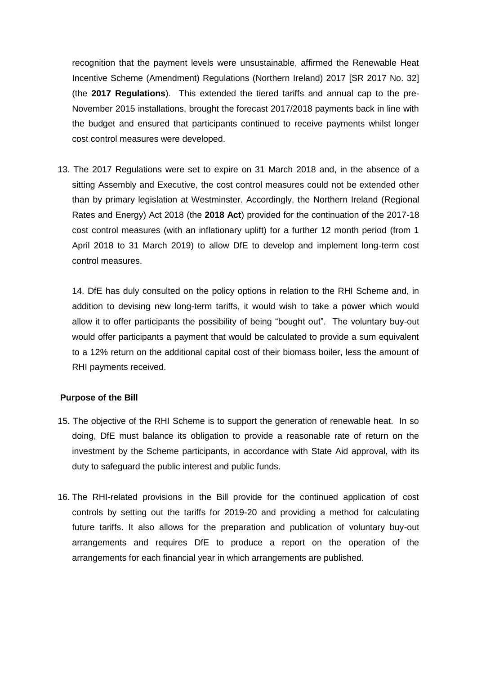recognition that the payment levels were unsustainable, affirmed the Renewable Heat Incentive Scheme (Amendment) Regulations (Northern Ireland) 2017 [SR 2017 No. 32] (the **2017 Regulations**). This extended the tiered tariffs and annual cap to the pre-November 2015 installations, brought the forecast 2017/2018 payments back in line with the budget and ensured that participants continued to receive payments whilst longer cost control measures were developed.

13. The 2017 Regulations were set to expire on 31 March 2018 and, in the absence of a sitting Assembly and Executive, the cost control measures could not be extended other than by primary legislation at Westminster. Accordingly, the Northern Ireland (Regional Rates and Energy) Act 2018 (the **2018 Act**) provided for the continuation of the 2017-18 cost control measures (with an inflationary uplift) for a further 12 month period (from 1 April 2018 to 31 March 2019) to allow DfE to develop and implement long-term cost control measures.

14. DfE has duly consulted on the policy options in relation to the RHI Scheme and, in addition to devising new long-term tariffs, it would wish to take a power which would allow it to offer participants the possibility of being "bought out". The voluntary buy-out would offer participants a payment that would be calculated to provide a sum equivalent to a 12% return on the additional capital cost of their biomass boiler, less the amount of RHI payments received.

#### **Purpose of the Bill**

- 15. The objective of the RHI Scheme is to support the generation of renewable heat. In so doing, DfE must balance its obligation to provide a reasonable rate of return on the investment by the Scheme participants, in accordance with State Aid approval, with its duty to safeguard the public interest and public funds.
- 16. The RHI-related provisions in the Bill provide for the continued application of cost controls by setting out the tariffs for 2019-20 and providing a method for calculating future tariffs. It also allows for the preparation and publication of voluntary buy-out arrangements and requires DfE to produce a report on the operation of the arrangements for each financial year in which arrangements are published.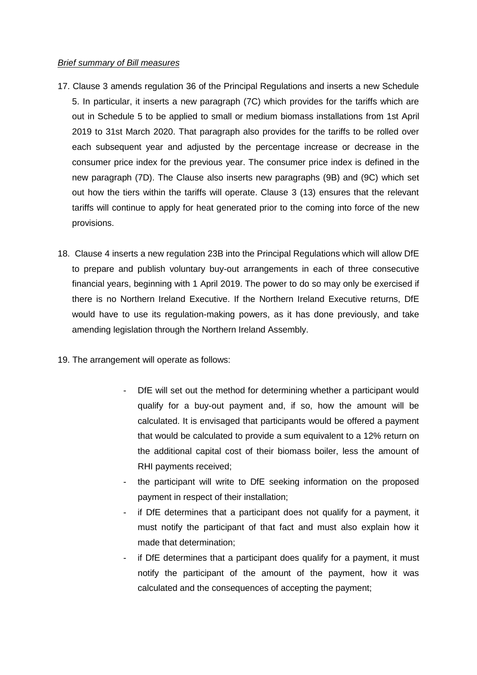#### *Brief summary of Bill measures*

- 17. Clause 3 amends regulation 36 of the Principal Regulations and inserts a new Schedule 5. In particular, it inserts a new paragraph (7C) which provides for the tariffs which are out in Schedule 5 to be applied to small or medium biomass installations from 1st April 2019 to 31st March 2020. That paragraph also provides for the tariffs to be rolled over each subsequent year and adjusted by the percentage increase or decrease in the consumer price index for the previous year. The consumer price index is defined in the new paragraph (7D). The Clause also inserts new paragraphs (9B) and (9C) which set out how the tiers within the tariffs will operate. Clause 3 (13) ensures that the relevant tariffs will continue to apply for heat generated prior to the coming into force of the new provisions.
- 18. Clause 4 inserts a new regulation 23B into the Principal Regulations which will allow DfE to prepare and publish voluntary buy-out arrangements in each of three consecutive financial years, beginning with 1 April 2019. The power to do so may only be exercised if there is no Northern Ireland Executive. If the Northern Ireland Executive returns, DfE would have to use its regulation-making powers, as it has done previously, and take amending legislation through the Northern Ireland Assembly.
- 19. The arrangement will operate as follows:
	- DfE will set out the method for determining whether a participant would qualify for a buy-out payment and, if so, how the amount will be calculated. It is envisaged that participants would be offered a payment that would be calculated to provide a sum equivalent to a 12% return on the additional capital cost of their biomass boiler, less the amount of RHI payments received;
	- the participant will write to DfE seeking information on the proposed payment in respect of their installation;
	- if DfE determines that a participant does not qualify for a payment, it must notify the participant of that fact and must also explain how it made that determination;
	- if DfE determines that a participant does qualify for a payment, it must notify the participant of the amount of the payment, how it was calculated and the consequences of accepting the payment;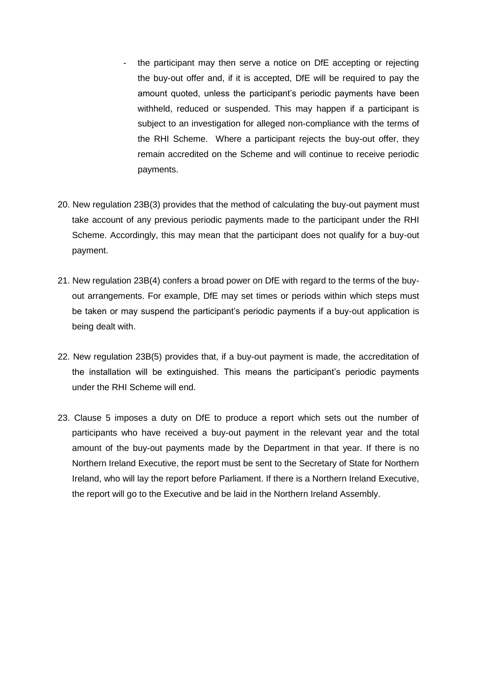- the participant may then serve a notice on DfE accepting or rejecting the buy-out offer and, if it is accepted, DfE will be required to pay the amount quoted, unless the participant's periodic payments have been withheld, reduced or suspended. This may happen if a participant is subject to an investigation for alleged non-compliance with the terms of the RHI Scheme. Where a participant rejects the buy-out offer, they remain accredited on the Scheme and will continue to receive periodic payments.
- 20. New regulation 23B(3) provides that the method of calculating the buy-out payment must take account of any previous periodic payments made to the participant under the RHI Scheme. Accordingly, this may mean that the participant does not qualify for a buy-out payment.
- 21. New regulation 23B(4) confers a broad power on DfE with regard to the terms of the buyout arrangements. For example, DfE may set times or periods within which steps must be taken or may suspend the participant's periodic payments if a buy-out application is being dealt with.
- 22. New regulation 23B(5) provides that, if a buy-out payment is made, the accreditation of the installation will be extinguished. This means the participant's periodic payments under the RHI Scheme will end.
- 23. Clause 5 imposes a duty on DfE to produce a report which sets out the number of participants who have received a buy-out payment in the relevant year and the total amount of the buy-out payments made by the Department in that year. If there is no Northern Ireland Executive, the report must be sent to the Secretary of State for Northern Ireland, who will lay the report before Parliament. If there is a Northern Ireland Executive, the report will go to the Executive and be laid in the Northern Ireland Assembly.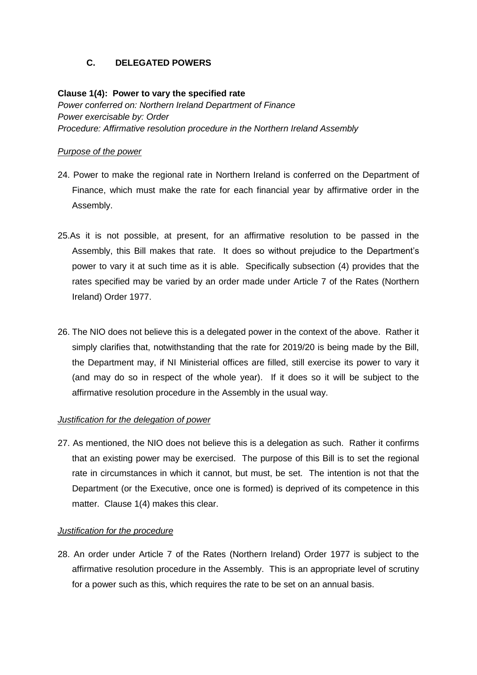# **C. DELEGATED POWERS**

### **Clause 1(4): Power to vary the specified rate**

*Power conferred on: Northern Ireland Department of Finance Power exercisable by: Order Procedure: Affirmative resolution procedure in the Northern Ireland Assembly*

#### *Purpose of the power*

- 24. Power to make the regional rate in Northern Ireland is conferred on the Department of Finance, which must make the rate for each financial year by affirmative order in the Assembly.
- 25.As it is not possible, at present, for an affirmative resolution to be passed in the Assembly, this Bill makes that rate. It does so without prejudice to the Department's power to vary it at such time as it is able. Specifically subsection (4) provides that the rates specified may be varied by an order made under Article 7 of the Rates (Northern Ireland) Order 1977.
- 26. The NIO does not believe this is a delegated power in the context of the above. Rather it simply clarifies that, notwithstanding that the rate for 2019/20 is being made by the Bill, the Department may, if NI Ministerial offices are filled, still exercise its power to vary it (and may do so in respect of the whole year). If it does so it will be subject to the affirmative resolution procedure in the Assembly in the usual way.

# *Justification for the delegation of power*

27. As mentioned, the NIO does not believe this is a delegation as such. Rather it confirms that an existing power may be exercised. The purpose of this Bill is to set the regional rate in circumstances in which it cannot, but must, be set. The intention is not that the Department (or the Executive, once one is formed) is deprived of its competence in this matter. Clause 1(4) makes this clear.

### *Justification for the procedure*

28. An order under Article 7 of the Rates (Northern Ireland) Order 1977 is subject to the affirmative resolution procedure in the Assembly. This is an appropriate level of scrutiny for a power such as this, which requires the rate to be set on an annual basis.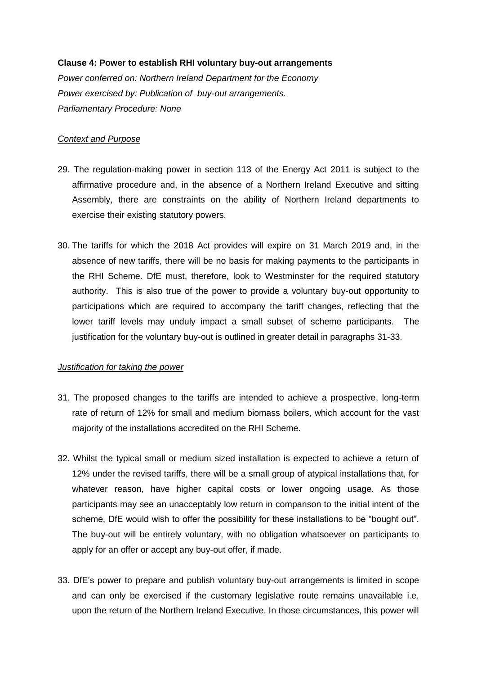### **Clause 4: Power to establish RHI voluntary buy-out arrangements**

*Power conferred on: Northern Ireland Department for the Economy Power exercised by: Publication of buy-out arrangements. Parliamentary Procedure: None*

### *Context and Purpose*

- 29. The regulation-making power in section 113 of the Energy Act 2011 is subject to the affirmative procedure and, in the absence of a Northern Ireland Executive and sitting Assembly, there are constraints on the ability of Northern Ireland departments to exercise their existing statutory powers.
- 30. The tariffs for which the 2018 Act provides will expire on 31 March 2019 and, in the absence of new tariffs, there will be no basis for making payments to the participants in the RHI Scheme. DfE must, therefore, look to Westminster for the required statutory authority. This is also true of the power to provide a voluntary buy-out opportunity to participations which are required to accompany the tariff changes, reflecting that the lower tariff levels may unduly impact a small subset of scheme participants. The justification for the voluntary buy-out is outlined in greater detail in paragraphs 31-33.

### *Justification for taking the power*

- 31. The proposed changes to the tariffs are intended to achieve a prospective, long-term rate of return of 12% for small and medium biomass boilers, which account for the vast majority of the installations accredited on the RHI Scheme.
- 32. Whilst the typical small or medium sized installation is expected to achieve a return of 12% under the revised tariffs, there will be a small group of atypical installations that, for whatever reason, have higher capital costs or lower ongoing usage. As those participants may see an unacceptably low return in comparison to the initial intent of the scheme, DfE would wish to offer the possibility for these installations to be "bought out". The buy-out will be entirely voluntary, with no obligation whatsoever on participants to apply for an offer or accept any buy-out offer, if made.
- 33. DfE's power to prepare and publish voluntary buy-out arrangements is limited in scope and can only be exercised if the customary legislative route remains unavailable i.e. upon the return of the Northern Ireland Executive. In those circumstances, this power will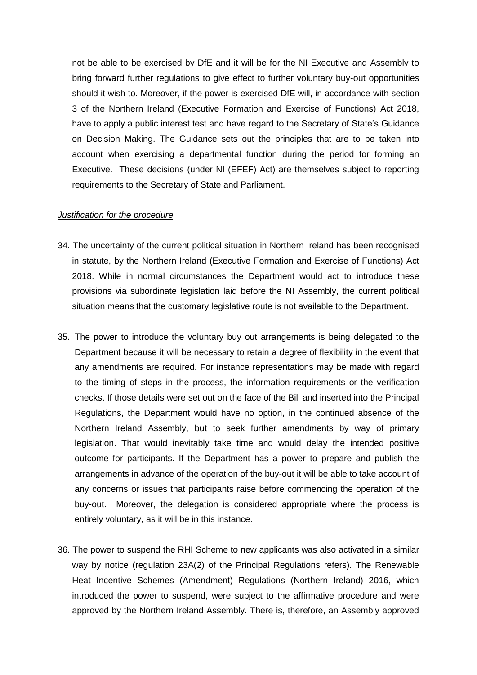not be able to be exercised by DfE and it will be for the NI Executive and Assembly to bring forward further regulations to give effect to further voluntary buy-out opportunities should it wish to. Moreover, if the power is exercised DfE will, in accordance with section 3 of the Northern Ireland (Executive Formation and Exercise of Functions) Act 2018, have to apply a public interest test and have regard to the Secretary of State's Guidance on Decision Making. The Guidance sets out the principles that are to be taken into account when exercising a departmental function during the period for forming an Executive. These decisions (under NI (EFEF) Act) are themselves subject to reporting requirements to the Secretary of State and Parliament.

#### *Justification for the procedure*

- 34. The uncertainty of the current political situation in Northern Ireland has been recognised in statute, by the Northern Ireland (Executive Formation and Exercise of Functions) Act 2018. While in normal circumstances the Department would act to introduce these provisions via subordinate legislation laid before the NI Assembly, the current political situation means that the customary legislative route is not available to the Department.
- 35. The power to introduce the voluntary buy out arrangements is being delegated to the Department because it will be necessary to retain a degree of flexibility in the event that any amendments are required. For instance representations may be made with regard to the timing of steps in the process, the information requirements or the verification checks. If those details were set out on the face of the Bill and inserted into the Principal Regulations, the Department would have no option, in the continued absence of the Northern Ireland Assembly, but to seek further amendments by way of primary legislation. That would inevitably take time and would delay the intended positive outcome for participants. If the Department has a power to prepare and publish the arrangements in advance of the operation of the buy-out it will be able to take account of any concerns or issues that participants raise before commencing the operation of the buy-out. Moreover, the delegation is considered appropriate where the process is entirely voluntary, as it will be in this instance.
- 36. The power to suspend the RHI Scheme to new applicants was also activated in a similar way by notice (regulation 23A(2) of the Principal Regulations refers). The Renewable Heat Incentive Schemes (Amendment) Regulations (Northern Ireland) 2016, which introduced the power to suspend, were subject to the affirmative procedure and were approved by the Northern Ireland Assembly. There is, therefore, an Assembly approved